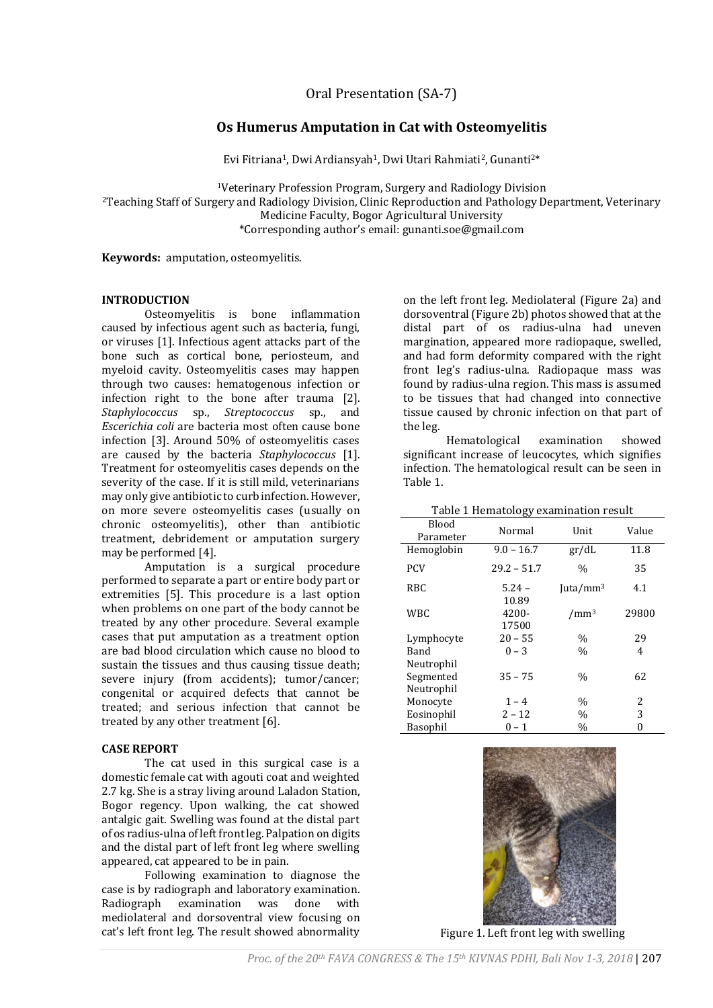Oral Presentation (SA-7)

# **Os Humerus Amputation in Cat with Osteomyelitis**

Evi Fitriana<sup>1</sup>, Dwi Ardiansyah<sup>1</sup>, Dwi Utari Rahmiati<sup>2</sup>, Gunanti<sup>2\*</sup>

<sup>1</sup>Veterinary Profession Program, Surgery and Radiology Division

<sup>2</sup>Teaching Staff of Surgery and Radiology Division, Clinic Reproduction and Pathology Department, Veterinary

Medicine Faculty, Bogor Agricultural University

\*Corresponding author's email: [gunanti.soe@gmail.com](mailto:gunanti.soe@gmail.com)

**Keywords:** amputation, osteomyelitis.

### **INTRODUCTION**

Osteomyelitis is bone inflammation caused by infectious agent such as bacteria, fungi, or viruses [1]. Infectious agent attacks part of the bone such as cortical bone, periosteum, and myeloid cavity. Osteomyelitis cases may happen through two causes: hematogenous infection or infection right to the bone after trauma [2]. *Staphylococcus* sp., *Streptococcus* sp., and *Escerichia coli* are bacteria most often cause bone infection [3]. Around 50% of osteomyelitis cases are caused by the bacteria *Staphylococcus* [1]. Treatment for osteomyelitis cases depends on the severity of the case. If it is still mild, veterinarians may only give antibiotic to curb infection. However, on more severe osteomyelitis cases (usually on chronic osteomyelitis), other than antibiotic treatment, debridement or amputation surgery may be performed [4].

Amputation is a surgical procedure performed to separate a part or entire body part or extremities [5]. This procedure is a last option when problems on one part of the body cannot be treated by any other procedure. Several example cases that put amputation as a treatment option are bad blood circulation which cause no blood to sustain the tissues and thus causing tissue death; severe injury (from accidents); tumor/cancer; congenital or acquired defects that cannot be treated; and serious infection that cannot be treated by any other treatment [6].

## **CASE REPORT**

The cat used in this surgical case is a domestic female cat with agouti coat and weighted 2.7 kg. She is a stray living around Laladon Station, Bogor regency. Upon walking, the cat showed antalgic gait. Swelling was found at the distal part of os radius-ulna of left front leg. Palpation on digits and the distal part of left front leg where swelling appeared, cat appeared to be in pain.

Following examination to diagnose the case is by radiograph and laboratory examination. Radiograph examination was done with mediolateral and dorsoventral view focusing on cat's left front leg. The result showed abnormality

on the left front leg. Mediolateral (Figure 2a) and dorsoventral (Figure 2b) photos showed that at the distal part of os radius-ulna had uneven margination, appeared more radiopaque, swelled, and had form deformity compared with the right front leg's radius-ulna. Radiopaque mass was found by radius-ulna region. This mass is assumed to be tissues that had changed into connective tissue caused by chronic infection on that part of the leg.

Hematological examination showed significant increase of leucocytes, which signifies infection. The hematological result can be seen in Table 1.

Table 1 Hematology examination result

| Table 1 Hematology examination result |                   |                  |       |
|---------------------------------------|-------------------|------------------|-------|
| Blood<br>Parameter                    | Normal            | Unit             | Value |
| Hemoglobin                            | $9.0 - 16.7$      | gr/dL            | 11.8  |
| <b>PCV</b>                            | $29.2 - 51.7$     | $\frac{0}{0}$    | 35    |
| <b>RBC</b>                            | $5.24 -$<br>10.89 | Juta/ $mm3$      | 4.1   |
| <b>WBC</b>                            | 4200-<br>17500    | /mm <sup>3</sup> | 29800 |
| Lymphocyte                            | $20 - 55$         | $\frac{0}{0}$    | 29    |
| Band                                  | $0 - 3$           | $\%$             | 4     |
| Neutrophil                            |                   |                  |       |
| Segmented                             | $35 - 75$         | $\%$             | 62    |
| Neutrophil                            |                   |                  |       |
| Monocyte                              | $1 - 4$           | $\%$             | 2     |
| Eosinophil                            | $2 - 12$          | $\%$             | 3     |
| Basophil                              | 0 – 1             | $\%$             | 0     |



Figure 1. Left front leg with swelling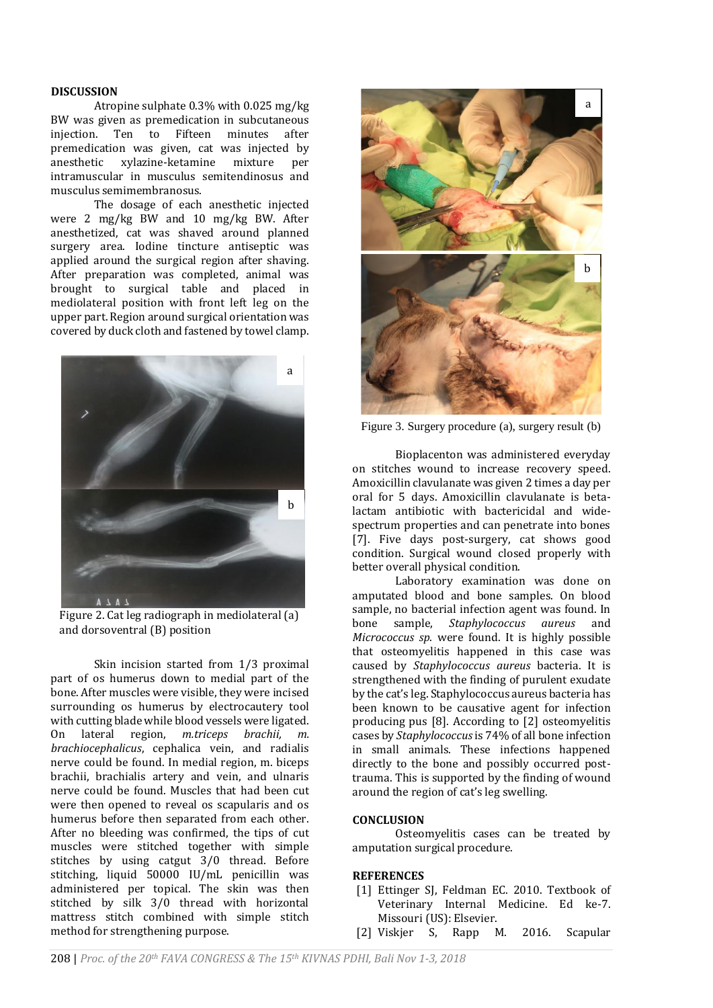#### **DISCUSSION**

Atropine sulphate 0.3% with 0.025 mg/kg BW was given as premedication in subcutaneous injection. Ten to Fifteen minutes after premedication was given, cat was injected by anesthetic xylazine-ketamine mixture per intramuscular in musculus semitendinosus and musculus semimembranosus.

The dosage of each anesthetic injected were 2 mg/kg BW and 10 mg/kg BW. After anesthetized, cat was shaved around planned surgery area. Iodine tincture antiseptic was applied around the surgical region after shaving. After preparation was completed, animal was brought to surgical table and placed in mediolateral position with front left leg on the upper part. Region around surgical orientation was covered by duck cloth and fastened by towel clamp.



Figure 2. Cat leg radiograph in mediolateral (a) and dorsoventral (B) position

Skin incision started from 1/3 proximal part of os humerus down to medial part of the bone. After muscles were visible, they were incised surrounding os humerus by electrocautery tool with cutting blade while blood vessels were ligated. On lateral region, *m.triceps brachii, m. brachiocephalicus*, cephalica vein, and radialis nerve could be found. In medial region, m. biceps brachii, brachialis artery and vein, and ulnaris nerve could be found. Muscles that had been cut were then opened to reveal os scapularis and os humerus before then separated from each other. After no bleeding was confirmed, the tips of cut muscles were stitched together with simple stitches by using catgut  $3/0$  thread. Before stitching, liquid 50000 IU/mL penicillin was administered per topical. The skin was then stitched by silk 3/0 thread with horizontal mattress stitch combined with simple stitch method for strengthening purpose.



Figure 3. Surgery procedure (a), surgery result (b)

Bioplacenton was administered everyday on stitches wound to increase recovery speed. Amoxicillin clavulanate was given 2 times a day per oral for 5 days. Amoxicillin clavulanate is betalactam antibiotic with bactericidal and widespectrum properties and can penetrate into bones [7]. Five days post-surgery, cat shows good condition. Surgical wound closed properly with better overall physical condition.

Laboratory examination was done on amputated blood and bone samples. On blood sample, no bacterial infection agent was found. In bone sample, *Staphylococcus aureus* and *Micrococcus sp.* were found. It is highly possible that osteomyelitis happened in this case was caused by *Staphylococcus aureus* bacteria. It is strengthened with the finding of purulent exudate by the cat's leg. Staphylococcus aureus bacteria has been known to be causative agent for infection producing pus [8]. According to [2] osteomyelitis cases by *Staphylococcus*is 74% of all bone infection in small animals. These infections happened directly to the bone and possibly occurred posttrauma. This is supported by the finding of wound around the region of cat's leg swelling.

### **CONCLUSION**

Osteomyelitis cases can be treated by amputation surgical procedure.

#### **REFERENCES**

- [1] Ettinger SJ, Feldman EC. 2010. Textbook of Veterinary Internal Medicine. Ed ke-7. Missouri (US): Elsevier.
- [2] Viskjer S, Rapp M. 2016. Scapular